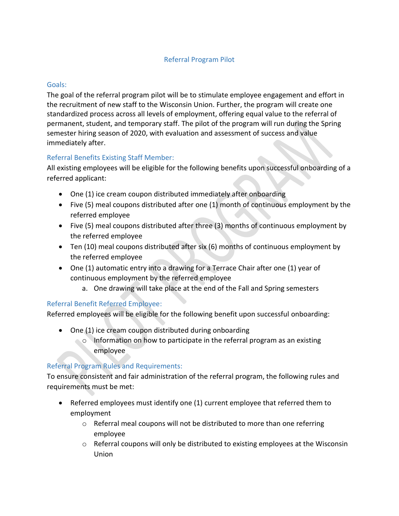# Referral Program Pilot

### Goals:

The goal of the referral program pilot will be to stimulate employee engagement and effort in the recruitment of new staff to the Wisconsin Union. Further, the program will create one standardized process across all levels of employment, offering equal value to the referral of permanent, student, and temporary staff. The pilot of the program will run during the Spring semester hiring season of 2020, with evaluation and assessment of success and value immediately after.

# Referral Benefits Existing Staff Member:

All existing employees will be eligible for the following benefits upon successful onboarding of a referred applicant:

- One (1) ice cream coupon distributed immediately after onboarding
- Five (5) meal coupons distributed after one (1) month of continuous employment by the referred employee
- Five (5) meal coupons distributed after three (3) months of continuous employment by the referred employee
- Ten (10) meal coupons distributed after six (6) months of continuous employment by the referred employee
- One (1) automatic entry into a drawing for a Terrace Chair after one (1) year of continuous employment by the referred employee
	- a. One drawing will take place at the end of the Fall and Spring semesters

### Referral Benefit Referred Employee:

Referred employees will be eligible for the following benefit upon successful onboarding:

- One (1) ice cream coupon distributed during onboarding
	- o Information on how to participate in the referral program as an existing employee

### Referral Program Rules and Requirements:

To ensure consistent and fair administration of the referral program, the following rules and requirements must be met:

- Referred employees must identify one (1) current employee that referred them to employment
	- o Referral meal coupons will not be distributed to more than one referring employee
	- o Referral coupons will only be distributed to existing employees at the Wisconsin Union